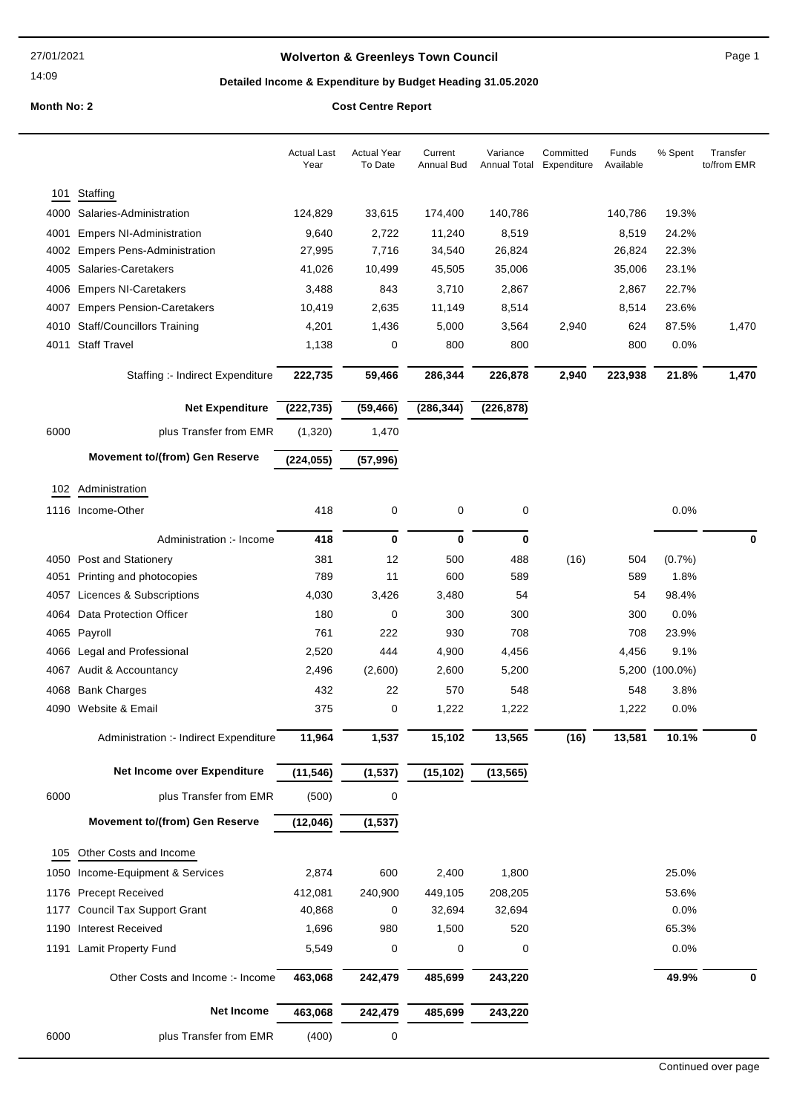## **Wolverton & Greenleys Town Council Page 1** Page 1

## **Detailed Income & Expenditure by Budget Heading 31.05.2020**

|      |                                        | <b>Actual Last</b><br>Year | <b>Actual Year</b><br>To Date | Current<br><b>Annual Bud</b> | Variance<br>Annual Total | Committed<br>Expenditure | Funds<br>Available | % Spent        | Transfer<br>to/from EMR |
|------|----------------------------------------|----------------------------|-------------------------------|------------------------------|--------------------------|--------------------------|--------------------|----------------|-------------------------|
| 101  | Staffing                               |                            |                               |                              |                          |                          |                    |                |                         |
| 4000 | Salaries-Administration                | 124,829                    | 33,615                        | 174,400                      | 140,786                  |                          | 140,786            | 19.3%          |                         |
| 4001 | <b>Empers NI-Administration</b>        | 9,640                      | 2,722                         | 11,240                       | 8,519                    |                          | 8,519              | 24.2%          |                         |
| 4002 | <b>Empers Pens-Administration</b>      | 27,995                     | 7,716                         | 34,540                       | 26,824                   |                          | 26,824             | 22.3%          |                         |
| 4005 | Salaries-Caretakers                    | 41,026                     | 10,499                        | 45,505                       | 35,006                   |                          | 35,006             | 23.1%          |                         |
|      |                                        |                            |                               |                              |                          |                          |                    |                |                         |
| 4006 | <b>Empers NI-Caretakers</b>            | 3,488                      | 843                           | 3,710                        | 2,867                    |                          | 2,867              | 22.7%          |                         |
| 4007 | <b>Empers Pension-Caretakers</b>       | 10,419                     | 2,635                         | 11,149                       | 8,514                    |                          | 8,514              | 23.6%          |                         |
| 4010 | <b>Staff/Councillors Training</b>      | 4,201                      | 1,436                         | 5,000                        | 3,564                    | 2,940                    | 624                | 87.5%          | 1,470                   |
| 4011 | <b>Staff Travel</b>                    | 1,138                      | 0                             | 800                          | 800                      |                          | 800                | 0.0%           |                         |
|      | Staffing :- Indirect Expenditure       | 222,735                    | 59,466                        | 286,344                      | 226,878                  | 2,940                    | 223,938            | 21.8%          | 1,470                   |
|      | <b>Net Expenditure</b>                 | (222, 735)                 | (59, 466)                     | (286, 344)                   | (226, 878)               |                          |                    |                |                         |
| 6000 | plus Transfer from EMR                 | (1,320)                    | 1,470                         |                              |                          |                          |                    |                |                         |
|      | <b>Movement to/(from) Gen Reserve</b>  | (224, 055)                 | (57, 996)                     |                              |                          |                          |                    |                |                         |
| 102  | Administration                         |                            |                               |                              |                          |                          |                    |                |                         |
|      | 1116 Income-Other                      | 418                        | 0                             | 0                            | 0                        |                          |                    | 0.0%           |                         |
|      | Administration :- Income               | 418                        | 0                             | 0                            | 0                        |                          |                    |                | 0                       |
|      | 4050 Post and Stationery               | 381                        | 12                            | 500                          | 488                      | (16)                     | 504                | $(0.7\%)$      |                         |
| 4051 | Printing and photocopies               | 789                        | 11                            | 600                          | 589                      |                          | 589                | 1.8%           |                         |
| 4057 | Licences & Subscriptions               | 4,030                      | 3,426                         | 3,480                        | 54                       |                          | 54                 | 98.4%          |                         |
| 4064 | Data Protection Officer                | 180                        | 0                             | 300                          | 300                      |                          | 300                | 0.0%           |                         |
|      | 4065 Payroll                           | 761                        | 222                           | 930                          | 708                      |                          | 708                | 23.9%          |                         |
| 4066 | Legal and Professional                 | 2,520                      | 444                           | 4,900                        | 4,456                    |                          | 4,456              | 9.1%           |                         |
|      | 4067 Audit & Accountancy               | 2,496                      | (2,600)                       | 2,600                        | 5,200                    |                          |                    | 5,200 (100.0%) |                         |
|      |                                        |                            |                               |                              |                          |                          |                    |                |                         |
| 4068 | <b>Bank Charges</b>                    | 432                        | 22                            | 570                          | 548                      |                          | 548                | 3.8%           |                         |
|      | 4090 Website & Email                   | 375                        | 0                             | 1,222                        | 1,222                    |                          | 1,222              | $0.0\%$        |                         |
|      | Administration :- Indirect Expenditure | 11,964                     | 1,537                         | 15,102                       | 13,565                   | (16)                     | 13,581             | 10.1%          | U                       |
|      | Net Income over Expenditure            | (11, 546)                  | (1, 537)                      | (15, 102)                    | (13, 565)                |                          |                    |                |                         |
| 6000 | plus Transfer from EMR                 | (500)                      | 0                             |                              |                          |                          |                    |                |                         |
|      | <b>Movement to/(from) Gen Reserve</b>  | (12,046)                   | (1, 537)                      |                              |                          |                          |                    |                |                         |
| 105  | Other Costs and Income                 |                            |                               |                              |                          |                          |                    |                |                         |
| 1050 | Income-Equipment & Services            | 2,874                      | 600                           | 2,400                        | 1,800                    |                          |                    | 25.0%          |                         |
| 1176 | <b>Precept Received</b>                | 412,081                    | 240,900                       | 449,105                      | 208,205                  |                          |                    | 53.6%          |                         |
| 1177 | <b>Council Tax Support Grant</b>       | 40,868                     | 0                             | 32,694                       | 32,694                   |                          |                    | 0.0%           |                         |
| 1190 | <b>Interest Received</b>               | 1,696                      | 980                           | 1,500                        | 520                      |                          |                    | 65.3%          |                         |
| 1191 | Lamit Property Fund                    | 5,549                      | 0                             | 0                            | 0                        |                          |                    | 0.0%           |                         |
|      | Other Costs and Income :- Income       | 463,068                    | 242,479                       | 485,699                      | 243,220                  |                          |                    | 49.9%          | 0                       |
|      | <b>Net Income</b>                      |                            |                               |                              |                          |                          |                    |                |                         |
|      |                                        | 463,068                    | 242,479                       | 485,699                      | 243,220                  |                          |                    |                |                         |
| 6000 | plus Transfer from EMR                 | (400)                      | 0                             |                              |                          |                          |                    |                |                         |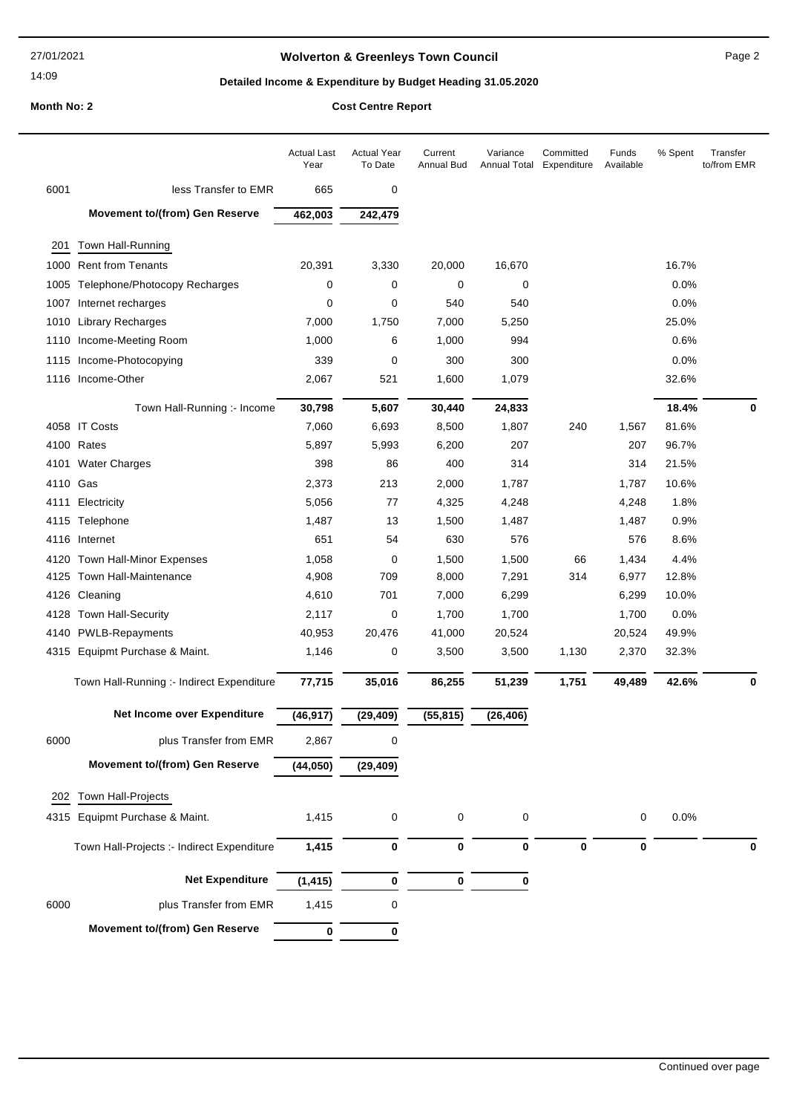## **Wolverton & Greenleys Town Council** Magness Council Page 2

## **Detailed Income & Expenditure by Budget Heading 31.05.2020**

|          |                                            | <b>Actual Last</b><br>Year | <b>Actual Year</b><br>To Date | Current<br>Annual Bud | Variance<br>Annual Total | Committed<br>Expenditure | Funds<br>Available | % Spent | Transfer<br>to/from EMR |
|----------|--------------------------------------------|----------------------------|-------------------------------|-----------------------|--------------------------|--------------------------|--------------------|---------|-------------------------|
| 6001     | less Transfer to EMR                       | 665                        | 0                             |                       |                          |                          |                    |         |                         |
|          | <b>Movement to/(from) Gen Reserve</b>      | 462,003                    | 242,479                       |                       |                          |                          |                    |         |                         |
| 201      | Town Hall-Running                          |                            |                               |                       |                          |                          |                    |         |                         |
|          | 1000 Rent from Tenants                     | 20,391                     | 3,330                         | 20,000                | 16,670                   |                          |                    | 16.7%   |                         |
|          | 1005 Telephone/Photocopy Recharges         | 0                          | 0                             | 0                     | 0                        |                          |                    | 0.0%    |                         |
|          | 1007 Internet recharges                    | 0                          | 0                             | 540                   | 540                      |                          |                    | 0.0%    |                         |
|          | 1010 Library Recharges                     | 7,000                      | 1,750                         | 7,000                 | 5,250                    |                          |                    | 25.0%   |                         |
|          | 1110 Income-Meeting Room                   | 1,000                      | 6                             | 1,000                 | 994                      |                          |                    | 0.6%    |                         |
|          | 1115 Income-Photocopying                   | 339                        | 0                             | 300                   | 300                      |                          |                    | 0.0%    |                         |
|          | 1116 Income-Other                          | 2,067                      | 521                           | 1,600                 | 1,079                    |                          |                    | 32.6%   |                         |
|          | Town Hall-Running :- Income                | 30,798                     | 5,607                         | 30,440                | 24,833                   |                          |                    | 18.4%   | 0                       |
|          | 4058 IT Costs                              | 7,060                      | 6,693                         | 8,500                 | 1,807                    | 240                      | 1,567              | 81.6%   |                         |
|          | 4100 Rates                                 | 5,897                      | 5,993                         | 6,200                 | 207                      |                          | 207                | 96.7%   |                         |
|          | 4101 Water Charges                         | 398                        | 86                            | 400                   | 314                      |                          | 314                | 21.5%   |                         |
| 4110 Gas |                                            | 2,373                      | 213                           | 2,000                 | 1,787                    |                          | 1,787              | 10.6%   |                         |
| 4111     | Electricity                                | 5,056                      | 77                            | 4,325                 | 4,248                    |                          | 4,248              | 1.8%    |                         |
|          | 4115 Telephone                             | 1,487                      | 13                            | 1,500                 | 1,487                    |                          | 1,487              | 0.9%    |                         |
|          | 4116 Internet                              | 651                        | 54                            | 630                   | 576                      |                          | 576                | 8.6%    |                         |
|          | 4120 Town Hall-Minor Expenses              | 1,058                      | 0                             | 1,500                 | 1,500                    | 66                       | 1,434              | 4.4%    |                         |
|          | 4125 Town Hall-Maintenance                 | 4,908                      | 709                           | 8,000                 | 7,291                    | 314                      | 6,977              | 12.8%   |                         |
|          | 4126 Cleaning                              | 4,610                      | 701                           | 7,000                 | 6,299                    |                          | 6,299              | 10.0%   |                         |
| 4128     | <b>Town Hall-Security</b>                  | 2,117                      | 0                             | 1,700                 | 1,700                    |                          | 1,700              | 0.0%    |                         |
|          | 4140 PWLB-Repayments                       | 40,953                     | 20,476                        | 41,000                | 20,524                   |                          | 20,524             | 49.9%   |                         |
|          | 4315 Equipmt Purchase & Maint.             | 1,146                      | 0                             | 3,500                 | 3,500                    | 1,130                    | 2,370              | 32.3%   |                         |
|          | Town Hall-Running :- Indirect Expenditure  | 77,715                     | 35,016                        | 86,255                | 51,239                   | 1,751                    | 49,489             | 42.6%   | 0                       |
|          | Net Income over Expenditure                | (46, 917)                  | (29, 409)                     | (55, 815)             | (26, 406)                |                          |                    |         |                         |
| 6000     | plus Transfer from EMR                     | 2,867                      | 0                             |                       |                          |                          |                    |         |                         |
|          | <b>Movement to/(from) Gen Reserve</b>      | (44, 050)                  | (29, 409)                     |                       |                          |                          |                    |         |                         |
| 202      | Town Hall-Projects                         |                            |                               |                       |                          |                          |                    |         |                         |
|          | 4315 Equipmt Purchase & Maint.             | 1,415                      | 0                             | 0                     | 0                        |                          | 0                  | 0.0%    |                         |
|          |                                            |                            |                               |                       |                          |                          |                    |         |                         |
|          | Town Hall-Projects :- Indirect Expenditure | 1,415                      | 0                             | 0                     | 0                        | 0                        | 0                  |         | 0                       |
|          | <b>Net Expenditure</b>                     | (1, 415)                   | 0                             | 0                     | 0                        |                          |                    |         |                         |
| 6000     | plus Transfer from EMR                     | 1,415                      | 0                             |                       |                          |                          |                    |         |                         |
|          | <b>Movement to/(from) Gen Reserve</b>      | 0                          | 0                             |                       |                          |                          |                    |         |                         |
|          |                                            |                            |                               |                       |                          |                          |                    |         |                         |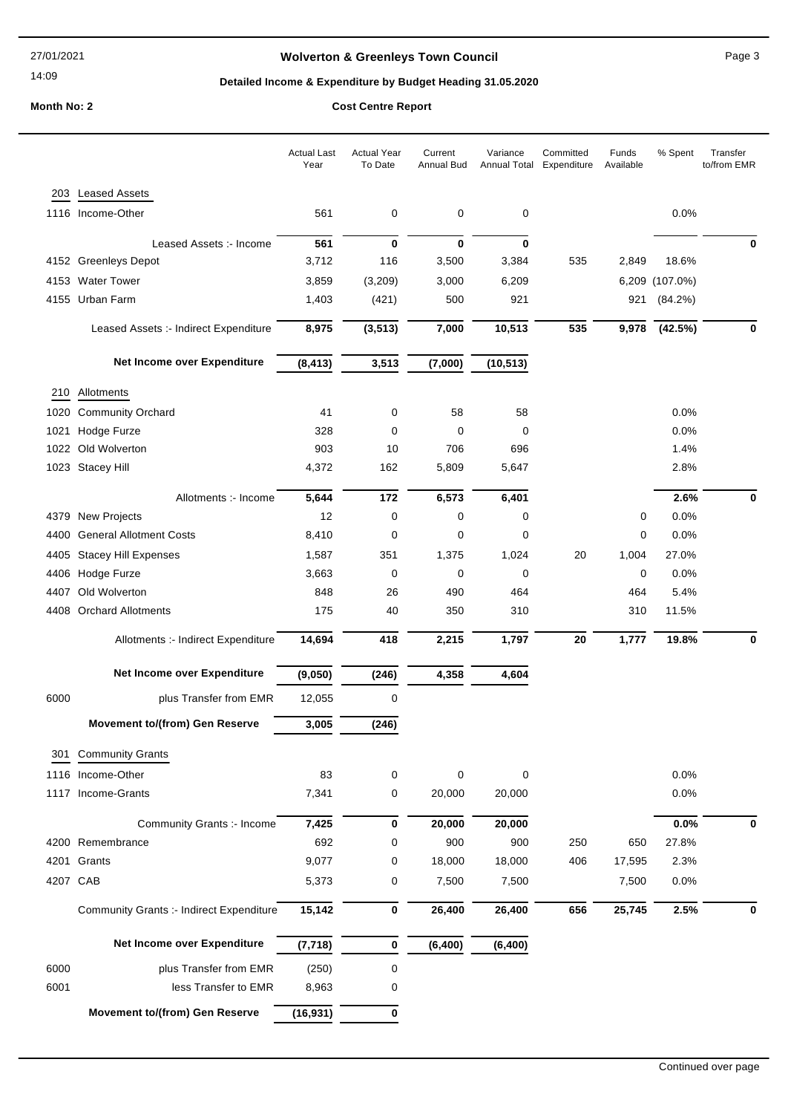## **Wolverton & Greenleys Town Council** Magness Council Page 3

## **Detailed Income & Expenditure by Budget Heading 31.05.2020**

|          |                                                 | <b>Actual Last</b><br>Year | <b>Actual Year</b><br>To Date | Current<br><b>Annual Bud</b> | Variance<br>Annual Total | Committed<br>Expenditure | Funds<br>Available | % Spent     | Transfer<br>to/from EMR |
|----------|-------------------------------------------------|----------------------------|-------------------------------|------------------------------|--------------------------|--------------------------|--------------------|-------------|-------------------------|
| 203      | <b>Leased Assets</b>                            |                            |                               |                              |                          |                          |                    |             |                         |
|          | 1116 Income-Other                               | 561                        | 0                             | 0                            | 0                        |                          |                    | 0.0%        |                         |
|          |                                                 |                            |                               |                              |                          |                          |                    |             |                         |
|          | Leased Assets :- Income                         | 561                        | $\bf{0}$                      | $\bf{0}$                     | 0                        |                          |                    |             | 0                       |
|          | 4152 Greenleys Depot                            | 3,712                      | 116                           | 3,500                        | 3,384                    | 535                      | 2,849              | 18.6%       |                         |
|          | 4153 Water Tower                                | 3,859                      | (3,209)                       | 3,000                        | 6,209                    |                          | 6,209              | $(107.0\%)$ |                         |
|          | 4155 Urban Farm                                 | 1,403                      | (421)                         | 500                          | 921                      |                          | 921                | (84.2%)     |                         |
|          | Leased Assets :- Indirect Expenditure           | 8,975                      | (3, 513)                      | 7,000                        | 10,513                   | 535                      | 9,978              | (42.5%)     | 0                       |
|          | Net Income over Expenditure                     | (8, 413)                   | 3,513                         | (7,000)                      | (10, 513)                |                          |                    |             |                         |
| 210      | Allotments                                      |                            |                               |                              |                          |                          |                    |             |                         |
| 1020     | <b>Community Orchard</b>                        | 41                         | 0                             | 58                           | 58                       |                          |                    | 0.0%        |                         |
| 1021     | Hodge Furze                                     | 328                        | $\mathbf 0$                   | 0                            | 0                        |                          |                    | 0.0%        |                         |
|          | 1022 Old Wolverton                              | 903                        | 10                            | 706                          | 696                      |                          |                    | 1.4%        |                         |
|          | 1023 Stacey Hill                                | 4,372                      | 162                           | 5,809                        | 5,647                    |                          |                    | 2.8%        |                         |
|          | Allotments :- Income                            | 5,644                      | 172                           | 6,573                        | 6,401                    |                          |                    | 2.6%        | 0                       |
|          | 4379 New Projects                               | 12                         | $\mathbf 0$                   | 0                            | 0                        |                          | 0                  | 0.0%        |                         |
| 4400     | <b>General Allotment Costs</b>                  | 8,410                      | 0                             | 0                            | 0                        |                          | 0                  | 0.0%        |                         |
| 4405     | <b>Stacey Hill Expenses</b>                     | 1,587                      | 351                           | 1,375                        | 1,024                    | 20                       | 1,004              | 27.0%       |                         |
|          | 4406 Hodge Furze                                | 3,663                      | 0                             | 0                            | 0                        |                          | 0                  | 0.0%        |                         |
| 4407     | Old Wolverton                                   | 848                        | 26                            | 490                          | 464                      |                          | 464                | 5.4%        |                         |
|          | 4408 Orchard Allotments                         | 175                        | 40                            | 350                          | 310                      |                          | 310                | 11.5%       |                         |
|          | Allotments :- Indirect Expenditure              | 14,694                     | 418                           | 2,215                        | 1,797                    | 20                       | 1,777              | 19.8%       | 0                       |
|          | Net Income over Expenditure                     | (9,050)                    | (246)                         | 4,358                        | 4,604                    |                          |                    |             |                         |
| 6000     | plus Transfer from EMR                          | 12,055                     | 0                             |                              |                          |                          |                    |             |                         |
|          | <b>Movement to/(from) Gen Reserve</b>           | 3,005                      | (246)                         |                              |                          |                          |                    |             |                         |
|          | 301 Community Grants                            |                            |                               |                              |                          |                          |                    |             |                         |
|          | 1116 Income-Other                               | 83                         | 0                             | 0                            | 0                        |                          |                    | 0.0%        |                         |
|          | 1117 Income-Grants                              | 7,341                      | 0                             | 20,000                       | 20,000                   |                          |                    | 0.0%        |                         |
|          | Community Grants :- Income                      | 7,425                      | $\bf{0}$                      | 20,000                       | 20,000                   |                          |                    | 0.0%        | 0                       |
|          | 4200 Remembrance                                | 692                        | 0                             | 900                          | 900                      | 250                      | 650                | 27.8%       |                         |
|          | 4201 Grants                                     | 9,077                      | 0                             | 18,000                       | 18,000                   | 406                      | 17,595             | 2.3%        |                         |
| 4207 CAB |                                                 | 5,373                      | 0                             | 7,500                        | 7,500                    |                          | 7,500              | 0.0%        |                         |
|          | <b>Community Grants :- Indirect Expenditure</b> | 15,142                     | $\bf{0}$                      | 26,400                       | 26,400                   | 656                      | 25,745             | 2.5%        | 0                       |
|          | Net Income over Expenditure                     | (7, 718)                   | $\bf{0}$                      | (6, 400)                     | (6, 400)                 |                          |                    |             |                         |
| 6000     | plus Transfer from EMR                          | (250)                      | 0                             |                              |                          |                          |                    |             |                         |
| 6001     | less Transfer to EMR                            | 8,963                      | 0                             |                              |                          |                          |                    |             |                         |
|          | <b>Movement to/(from) Gen Reserve</b>           | (16, 931)                  | $\bf{0}$                      |                              |                          |                          |                    |             |                         |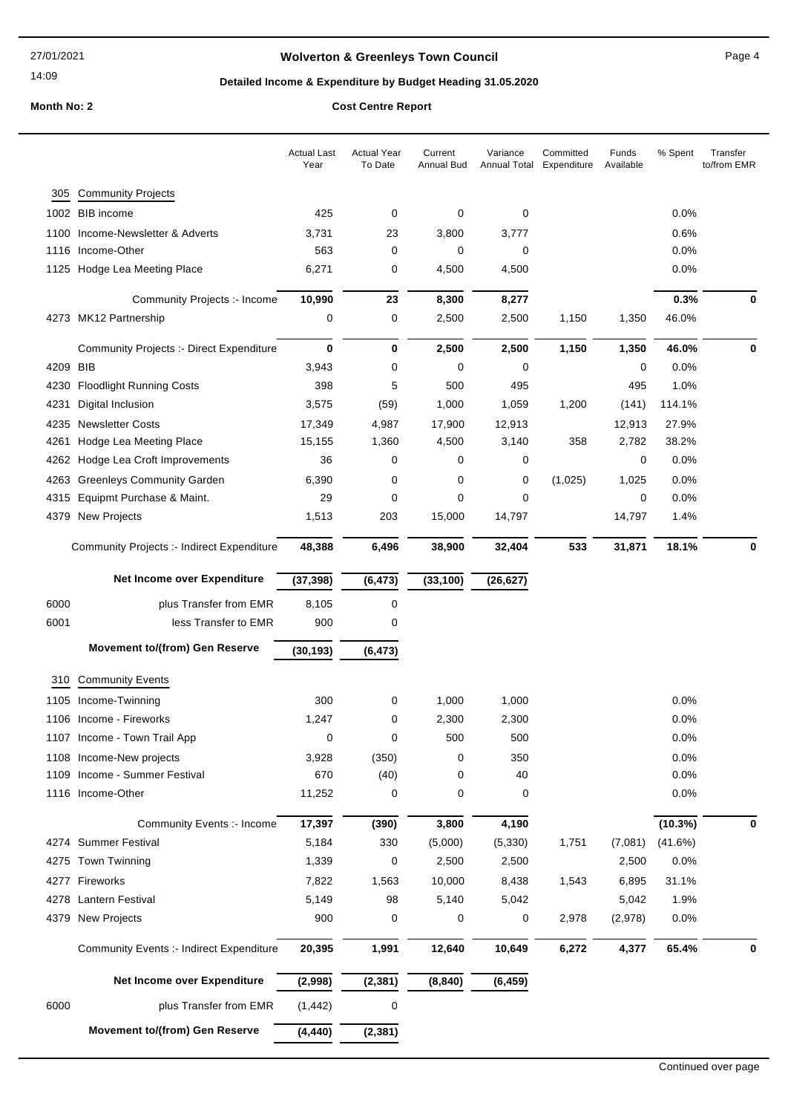## **Wolverton & Greenleys Town Council** Magnetic Page 4

## **Detailed Income & Expenditure by Budget Heading 31.05.2020**

|      |                                                 | <b>Actual Last</b><br>Year | <b>Actual Year</b><br>To Date | Current<br>Annual Bud | Variance  | Committed<br>Annual Total Expenditure | Funds<br>Available | % Spent | Transfer<br>to/from EMR |
|------|-------------------------------------------------|----------------------------|-------------------------------|-----------------------|-----------|---------------------------------------|--------------------|---------|-------------------------|
| 305  | <b>Community Projects</b>                       |                            |                               |                       |           |                                       |                    |         |                         |
|      | 1002 BIB income                                 | 425                        | 0                             | 0                     | 0         |                                       |                    | 0.0%    |                         |
| 1100 | Income-Newsletter & Adverts                     | 3,731                      | 23                            | 3,800                 | 3,777     |                                       |                    | 0.6%    |                         |
| 1116 | Income-Other                                    | 563                        | 0                             | 0                     | 0         |                                       |                    | 0.0%    |                         |
|      | 1125 Hodge Lea Meeting Place                    | 6,271                      | 0                             | 4,500                 | 4,500     |                                       |                    | 0.0%    |                         |
|      |                                                 |                            |                               |                       |           |                                       |                    |         |                         |
|      | Community Projects :- Income                    | 10,990                     | 23                            | 8,300                 | 8,277     |                                       |                    | 0.3%    | 0                       |
|      | 4273 MK12 Partnership                           | 0                          | 0                             | 2,500                 | 2,500     | 1,150                                 | 1,350              | 46.0%   |                         |
|      | <b>Community Projects :- Direct Expenditure</b> | 0                          | 0                             | 2,500                 | 2,500     | 1,150                                 | 1,350              | 46.0%   | 0                       |
| 4209 | <b>BIB</b>                                      | 3,943                      | 0                             | 0                     | 0         |                                       | 0                  | 0.0%    |                         |
| 4230 | <b>Floodlight Running Costs</b>                 | 398                        | 5                             | 500                   | 495       |                                       | 495                | 1.0%    |                         |
| 4231 | Digital Inclusion                               | 3,575                      | (59)                          | 1,000                 | 1,059     | 1,200                                 | (141)              | 114.1%  |                         |
| 4235 | <b>Newsletter Costs</b>                         | 17,349                     | 4,987                         | 17,900                | 12,913    |                                       | 12,913             | 27.9%   |                         |
| 4261 | Hodge Lea Meeting Place                         | 15,155                     | 1,360                         | 4,500                 | 3,140     | 358                                   | 2,782              | 38.2%   |                         |
| 4262 | Hodge Lea Croft Improvements                    | 36                         | 0                             | 0                     | 0         |                                       | 0                  | 0.0%    |                         |
| 4263 | <b>Greenleys Community Garden</b>               | 6,390                      | 0                             | 0                     | 0         | (1,025)                               | 1,025              | 0.0%    |                         |
| 4315 | Equipmt Purchase & Maint.                       | 29                         | 0                             | 0                     | 0         |                                       | 0                  | 0.0%    |                         |
| 4379 | <b>New Projects</b>                             | 1,513                      | 203                           | 15,000                | 14,797    |                                       | 14,797             | 1.4%    |                         |
|      | Community Projects :- Indirect Expenditure      | 48,388                     | 6,496                         | 38,900                | 32,404    | 533                                   | 31,871             | 18.1%   | 0                       |
|      | Net Income over Expenditure                     | (37, 398)                  | (6, 473)                      | (33, 100)             | (26, 627) |                                       |                    |         |                         |
| 6000 | plus Transfer from EMR                          | 8,105                      | 0                             |                       |           |                                       |                    |         |                         |
| 6001 | less Transfer to EMR                            | 900                        | 0                             |                       |           |                                       |                    |         |                         |
|      | <b>Movement to/(from) Gen Reserve</b>           | (30, 193)                  | (6, 473)                      |                       |           |                                       |                    |         |                         |
|      |                                                 |                            |                               |                       |           |                                       |                    |         |                         |
| 310  | <b>Community Events</b>                         |                            |                               |                       |           |                                       |                    |         |                         |
| 1105 | Income-Twinning                                 | 300                        | 0                             | 1,000                 | 1,000     |                                       |                    | 0.0%    |                         |
| 1106 | Income - Fireworks                              | 1,247                      | 0                             | 2,300                 | 2,300     |                                       |                    | 0.0%    |                         |
|      | 1107 Income - Town Trail App                    | 0                          | 0                             | 500                   | 500       |                                       |                    | 0.0%    |                         |
|      | 1108 Income-New projects                        | 3,928                      | (350)                         | 0                     | 350       |                                       |                    | 0.0%    |                         |
| 1109 | Income - Summer Festival                        | 670                        | (40)                          | 0                     | 40        |                                       |                    | 0.0%    |                         |
|      | 1116 Income-Other                               | 11,252                     | 0                             | 0                     | 0         |                                       |                    | 0.0%    |                         |
|      | <b>Community Events :- Income</b>               | 17,397                     | (390)                         | 3,800                 | 4,190     |                                       |                    | (10.3%) | 0                       |
|      | 4274 Summer Festival                            | 5,184                      | 330                           | (5,000)               | (5,330)   | 1,751                                 | (7,081)            | (41.6%) |                         |
| 4275 | Town Twinning                                   | 1,339                      | 0                             | 2,500                 | 2,500     |                                       | 2,500              | 0.0%    |                         |
|      | 4277 Fireworks                                  | 7,822                      | 1,563                         | 10,000                | 8,438     | 1,543                                 | 6,895              | 31.1%   |                         |
|      | 4278 Lantern Festival                           | 5,149                      | 98                            | 5,140                 | 5,042     |                                       | 5,042              | 1.9%    |                         |
| 4379 | New Projects                                    | 900                        | 0                             | 0                     | 0         | 2,978                                 | (2,978)            | 0.0%    |                         |
|      | <b>Community Events :- Indirect Expenditure</b> | 20,395                     | 1,991                         | 12,640                | 10,649    | 6,272                                 | 4,377              | 65.4%   | 0                       |
|      | Net Income over Expenditure                     | (2,998)                    | (2, 381)                      | (8, 840)              | (6, 459)  |                                       |                    |         |                         |
| 6000 | plus Transfer from EMR                          | (1, 442)                   | 0                             |                       |           |                                       |                    |         |                         |
|      | <b>Movement to/(from) Gen Reserve</b>           | (4, 440)                   | (2, 381)                      |                       |           |                                       |                    |         |                         |
|      |                                                 |                            |                               |                       |           |                                       |                    |         |                         |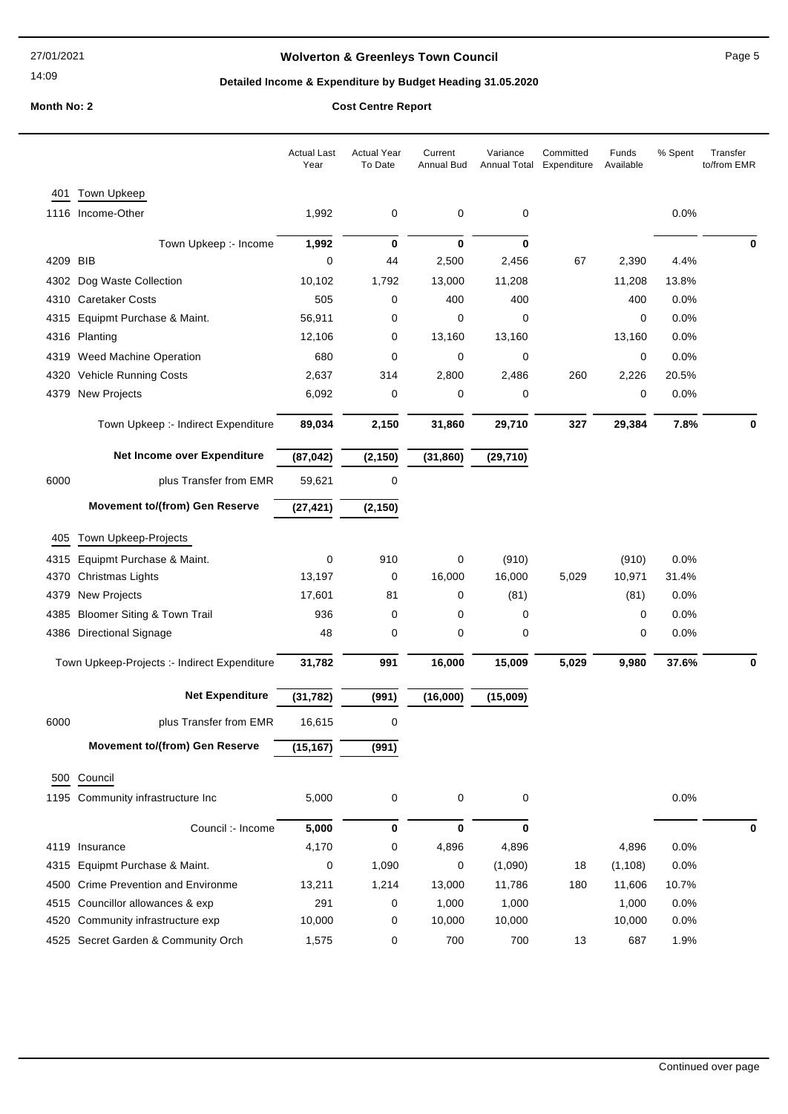## **Wolverton & Greenleys Town Council Page 5** Page 5

## **Detailed Income & Expenditure by Budget Heading 31.05.2020**

|          |                                              | <b>Actual Last</b><br>Year | <b>Actual Year</b><br>To Date | Current<br>Annual Bud | Variance<br>Annual Total | Committed<br>Expenditure | Funds<br>Available | % Spent | Transfer<br>to/from EMR |
|----------|----------------------------------------------|----------------------------|-------------------------------|-----------------------|--------------------------|--------------------------|--------------------|---------|-------------------------|
| 401      | <b>Town Upkeep</b>                           |                            |                               |                       |                          |                          |                    |         |                         |
|          | 1116 Income-Other                            | 1,992                      | 0                             | 0                     | 0                        |                          |                    | 0.0%    |                         |
|          | Town Upkeep :- Income                        | 1,992                      | 0                             | $\mathbf 0$           | $\bf{0}$                 |                          |                    |         | 0                       |
| 4209 BIB |                                              | 0                          | 44                            | 2,500                 | 2,456                    | 67                       | 2,390              | 4.4%    |                         |
|          | 4302 Dog Waste Collection                    | 10,102                     | 1,792                         | 13,000                | 11,208                   |                          | 11,208             | 13.8%   |                         |
|          | 4310 Caretaker Costs                         | 505                        | 0                             | 400                   | 400                      |                          | 400                | 0.0%    |                         |
| 4315     | Equipmt Purchase & Maint.                    | 56,911                     | 0                             | 0                     | 0                        |                          | 0                  | 0.0%    |                         |
|          | 4316 Planting                                | 12,106                     | 0                             | 13,160                | 13,160                   |                          | 13,160             | 0.0%    |                         |
|          | 4319 Weed Machine Operation                  | 680                        | 0                             | 0                     | 0                        |                          | 0                  | 0.0%    |                         |
| 4320     | <b>Vehicle Running Costs</b>                 | 2,637                      | 314                           | 2,800                 | 2,486                    | 260                      | 2,226              | 20.5%   |                         |
|          | 4379 New Projects                            | 6,092                      | 0                             | 0                     | 0                        |                          | 0                  | 0.0%    |                         |
|          | Town Upkeep :- Indirect Expenditure          | 89,034                     | 2,150                         | 31,860                | 29,710                   | 327                      | 29,384             | 7.8%    |                         |
|          | Net Income over Expenditure                  | (87, 042)                  | (2, 150)                      | (31, 860)             | (29, 710)                |                          |                    |         |                         |
| 6000     | plus Transfer from EMR                       | 59,621                     | 0                             |                       |                          |                          |                    |         |                         |
|          | <b>Movement to/(from) Gen Reserve</b>        | (27, 421)                  | (2, 150)                      |                       |                          |                          |                    |         |                         |
| 405      | Town Upkeep-Projects                         |                            |                               |                       |                          |                          |                    |         |                         |
| 4315     | Equipmt Purchase & Maint.                    | 0                          | 910                           | 0                     | (910)                    |                          | (910)              | 0.0%    |                         |
|          | 4370 Christmas Lights                        | 13,197                     | 0                             | 16,000                | 16,000                   | 5,029                    | 10,971             | 31.4%   |                         |
| 4379     | <b>New Projects</b>                          | 17,601                     | 81                            | 0                     | (81)                     |                          | (81)               | 0.0%    |                         |
| 4385     | <b>Bloomer Siting &amp; Town Trail</b>       | 936                        | 0                             | 0                     | 0                        |                          | 0                  | 0.0%    |                         |
|          | 4386 Directional Signage                     | 48                         | 0                             | 0                     | 0                        |                          | 0                  | 0.0%    |                         |
|          | Town Upkeep-Projects :- Indirect Expenditure | 31,782                     | 991                           | 16,000                | 15,009                   | 5,029                    | 9,980              | 37.6%   |                         |
|          | <b>Net Expenditure</b>                       | (31, 782)                  | (991)                         | (16,000)              | (15,009)                 |                          |                    |         |                         |
| 6000     | plus Transfer from EMR                       | 16,615                     | 0                             |                       |                          |                          |                    |         |                         |
|          | <b>Movement to/(from) Gen Reserve</b>        | (15, 167)                  | (991)                         |                       |                          |                          |                    |         |                         |
|          | 500 Council                                  |                            |                               |                       |                          |                          |                    |         |                         |
|          | 1195 Community infrastructure Inc            | 5,000                      | 0                             | 0                     | 0                        |                          |                    | 0.0%    |                         |
|          | Council :- Income                            | 5,000                      | $\bf{0}$                      | 0                     | $\bf{0}$                 |                          |                    |         | 0                       |
|          | 4119 Insurance                               | 4,170                      | 0                             | 4,896                 | 4,896                    |                          | 4,896              | 0.0%    |                         |
|          | 4315 Equipmt Purchase & Maint.               | 0                          | 1,090                         | 0                     | (1,090)                  | 18                       | (1, 108)           | 0.0%    |                         |
|          | 4500 Crime Prevention and Environme          | 13,211                     | 1,214                         | 13,000                | 11,786                   | 180                      | 11,606             | 10.7%   |                         |
|          | 4515 Councillor allowances & exp             | 291                        | 0                             | 1,000                 | 1,000                    |                          | 1,000              | 0.0%    |                         |
|          | 4520 Community infrastructure exp            | 10,000                     | 0                             | 10,000                | 10,000                   |                          | 10,000             | 0.0%    |                         |
|          | 4525 Secret Garden & Community Orch          | 1,575                      | 0                             | 700                   | 700                      | 13                       | 687                | 1.9%    |                         |